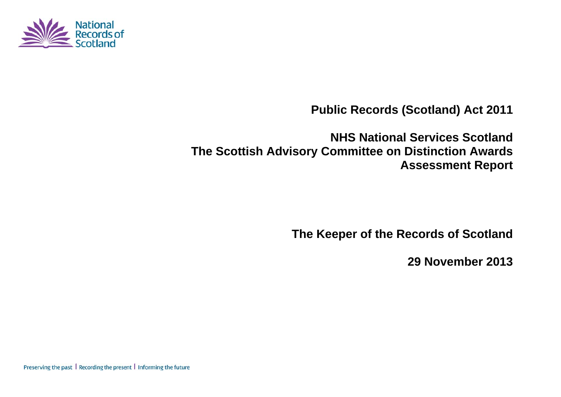

**Public Records (Scotland) Act 2011** 

**NHS National Services Scotland The Scottish Advisory Committee on Distinction Awards Assessment Report** 

**The Keeper of the Records of Scotland** 

**29 November 2013** 

Preserving the past | Recording the present | Informing the future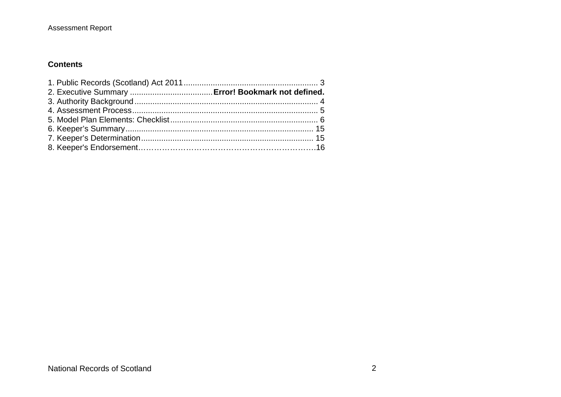#### **Contents**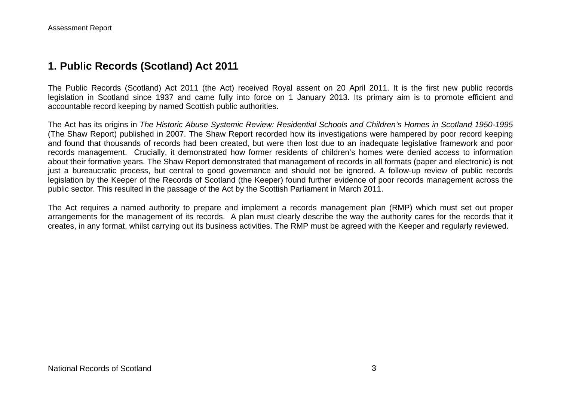## **1. Public Records (Scotland) Act 2011**

The Public Records (Scotland) Act 2011 (the Act) received Royal assent on 20 April 2011. It is the first new public records legislation in Scotland since 1937 and came fully into force on 1 January 2013. Its primary aim is to promote efficient and accountable record keeping by named Scottish public authorities.

The Act has its origins in *The Historic Abuse Systemic Review: Residential Schools and Children's Homes in Scotland 1950-1995* (The Shaw Report) published in 2007. The Shaw Report recorded how its investigations were hampered by poor record keeping and found that thousands of records had been created, but were then lost due to an inadequate legislative framework and poor records management. Crucially, it demonstrated how former residents of children's homes were denied access to information about their formative years. The Shaw Report demonstrated that management of records in all formats (paper and electronic) is not just a bureaucratic process, but central to good governance and should not be ignored. A follow-up review of public records legislation by the Keeper of the Records of Scotland (the Keeper) found further evidence of poor records management across the public sector. This resulted in the passage of the Act by the Scottish Parliament in March 2011.

The Act requires a named authority to prepare and implement a records management plan (RMP) which must set out proper arrangements for the management of its records. A plan must clearly describe the way the authority cares for the records that it creates, in any format, whilst carrying out its business activities. The RMP must be agreed with the Keeper and regularly reviewed.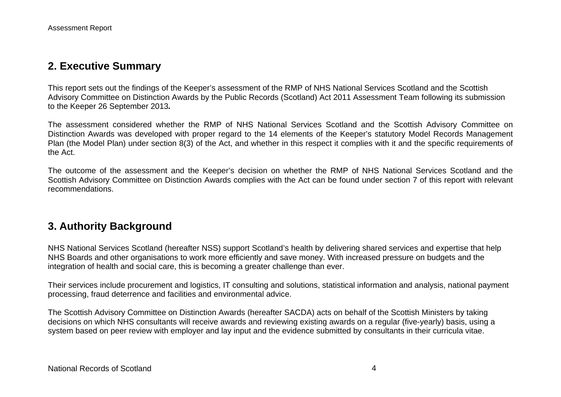## **2. Executive Summary**

This report sets out the findings of the Keeper's assessment of the RMP of NHS National Services Scotland and the Scottish Advisory Committee on Distinction Awards by the Public Records (Scotland) Act 2011 Assessment Team following its submission to the Keeper 26 September 2013*.*

The assessment considered whether the RMP of NHS National Services Scotland and the Scottish Advisory Committee on Distinction Awards was developed with proper regard to the 14 elements of the Keeper's statutory Model Records Management Plan (the Model Plan) under section 8(3) of the Act, and whether in this respect it complies with it and the specific requirements of the Act.

The outcome of the assessment and the Keeper's decision on whether the RMP of NHS National Services Scotland and the Scottish Advisory Committee on Distinction Awards complies with the Act can be found under section 7 of this report with relevant recommendations.

# **3. Authority Background**

NHS National Services Scotland (hereafter NSS) support Scotland's health by delivering shared services and expertise that help NHS Boards and other organisations to work more efficiently and save money. With increased pressure on budgets and the integration of health and social care, this is becoming a greater challenge than ever.

Their services include procurement and logistics, IT consulting and solutions, statistical information and analysis, national payment processing, fraud deterrence and facilities and environmental advice.

The Scottish Advisory Committee on Distinction Awards (hereafter SACDA) acts on behalf of the Scottish Ministers by taking decisions on which NHS consultants will receive awards and reviewing existing awards on a regular (five-yearly) basis, using a system based on peer review with employer and lay input and the evidence submitted by consultants in their curricula vitae.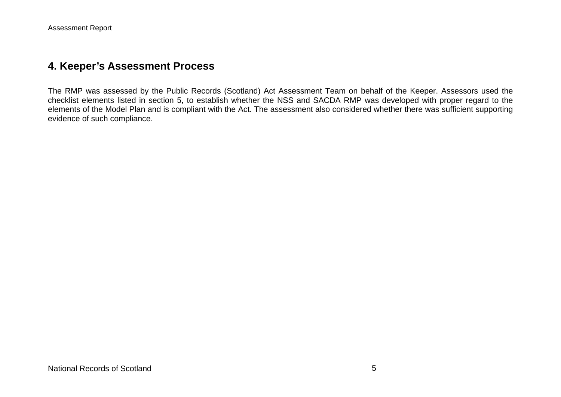### **4. Keeper's Assessment Process**

The RMP was assessed by the Public Records (Scotland) Act Assessment Team on behalf of the Keeper. Assessors used the checklist elements listed in section 5, to establish whether the NSS and SACDA RMP was developed with proper regard to the elements of the Model Plan and is compliant with the Act. The assessment also considered whether there was sufficient supporting evidence of such compliance.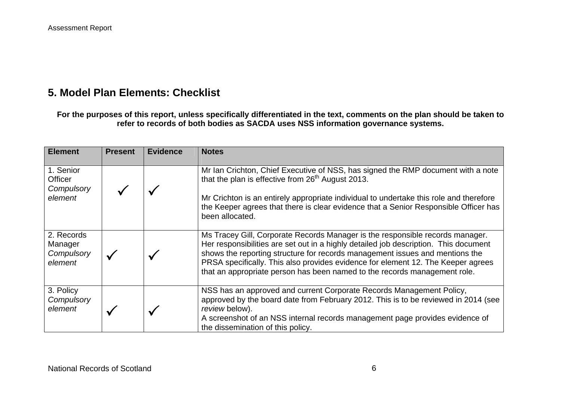# **5. Model Plan Elements: Checklist**

**For the purposes of this report, unless specifically differentiated in the text, comments on the plan should be taken to refer to records of both bodies as SACDA uses NSS information governance systems.** 

| <b>Element</b>                                 | <b>Present</b> | <b>Evidence</b> | <b>Notes</b>                                                                                                                                                                                                                                                                                                                                                                                                           |
|------------------------------------------------|----------------|-----------------|------------------------------------------------------------------------------------------------------------------------------------------------------------------------------------------------------------------------------------------------------------------------------------------------------------------------------------------------------------------------------------------------------------------------|
| 1. Senior<br>Officer<br>Compulsory<br>element  |                |                 | Mr Ian Crichton, Chief Executive of NSS, has signed the RMP document with a note<br>that the plan is effective from 26 <sup>th</sup> August 2013.<br>Mr Crichton is an entirely appropriate individual to undertake this role and therefore<br>the Keeper agrees that there is clear evidence that a Senior Responsible Officer has<br>been allocated.                                                                 |
| 2. Records<br>Manager<br>Compulsory<br>element |                |                 | Ms Tracey Gill, Corporate Records Manager is the responsible records manager.<br>Her responsibilities are set out in a highly detailed job description. This document<br>shows the reporting structure for records management issues and mentions the<br>PRSA specifically. This also provides evidence for element 12. The Keeper agrees<br>that an appropriate person has been named to the records management role. |
| 3. Policy<br>Compulsory<br>element             |                |                 | NSS has an approved and current Corporate Records Management Policy,<br>approved by the board date from February 2012. This is to be reviewed in 2014 (see<br>review below).<br>A screenshot of an NSS internal records management page provides evidence of<br>the dissemination of this policy.                                                                                                                      |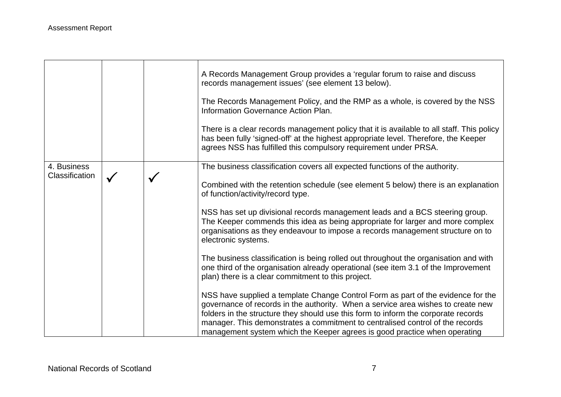|                               |  | A Records Management Group provides a 'regular forum to raise and discuss<br>records management issues' (see element 13 below).<br>The Records Management Policy, and the RMP as a whole, is covered by the NSS<br>Information Governance Action Plan.<br>There is a clear records management policy that it is available to all staff. This policy<br>has been fully 'signed-off' at the highest appropriate level. Therefore, the Keeper<br>agrees NSS has fulfilled this compulsory requirement under PRSA.                                                                                                                                               |
|-------------------------------|--|--------------------------------------------------------------------------------------------------------------------------------------------------------------------------------------------------------------------------------------------------------------------------------------------------------------------------------------------------------------------------------------------------------------------------------------------------------------------------------------------------------------------------------------------------------------------------------------------------------------------------------------------------------------|
| 4. Business<br>Classification |  | The business classification covers all expected functions of the authority.<br>Combined with the retention schedule (see element 5 below) there is an explanation<br>of function/activity/record type.<br>NSS has set up divisional records management leads and a BCS steering group.<br>The Keeper commends this idea as being appropriate for larger and more complex<br>organisations as they endeavour to impose a records management structure on to<br>electronic systems.                                                                                                                                                                            |
|                               |  | The business classification is being rolled out throughout the organisation and with<br>one third of the organisation already operational (see item 3.1 of the Improvement<br>plan) there is a clear commitment to this project.<br>NSS have supplied a template Change Control Form as part of the evidence for the<br>governance of records in the authority. When a service area wishes to create new<br>folders in the structure they should use this form to inform the corporate records<br>manager. This demonstrates a commitment to centralised control of the records<br>management system which the Keeper agrees is good practice when operating |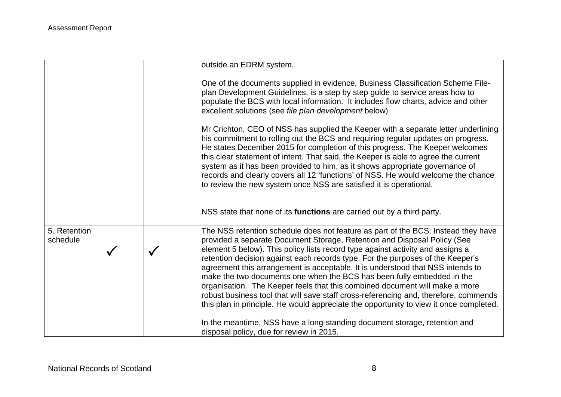|                          |  | outside an EDRM system.                                                                                                                                                                                                                                                                                                                                                                                                                                                                                                                                                                                                                                                                                                                                        |
|--------------------------|--|----------------------------------------------------------------------------------------------------------------------------------------------------------------------------------------------------------------------------------------------------------------------------------------------------------------------------------------------------------------------------------------------------------------------------------------------------------------------------------------------------------------------------------------------------------------------------------------------------------------------------------------------------------------------------------------------------------------------------------------------------------------|
|                          |  | One of the documents supplied in evidence, Business Classification Scheme File-<br>plan Development Guidelines, is a step by step guide to service areas how to<br>populate the BCS with local information. It includes flow charts, advice and other<br>excellent solutions (see file plan development below)                                                                                                                                                                                                                                                                                                                                                                                                                                                 |
|                          |  | Mr Crichton, CEO of NSS has supplied the Keeper with a separate letter underlining<br>his commitment to rolling out the BCS and requiring regular updates on progress.<br>He states December 2015 for completion of this progress. The Keeper welcomes<br>this clear statement of intent. That said, the Keeper is able to agree the current<br>system as it has been provided to him, as it shows appropriate governance of<br>records and clearly covers all 12 'functions' of NSS. He would welcome the chance<br>to review the new system once NSS are satisfied it is operational.                                                                                                                                                                        |
|                          |  | NSS state that none of its functions are carried out by a third party.                                                                                                                                                                                                                                                                                                                                                                                                                                                                                                                                                                                                                                                                                         |
| 5. Retention<br>schedule |  | The NSS retention schedule does not feature as part of the BCS. Instead they have<br>provided a separate Document Storage, Retention and Disposal Policy (See<br>element 5 below). This policy lists record type against activity and assigns a<br>retention decision against each records type. For the purposes of the Keeper's<br>agreement this arrangement is acceptable. It is understood that NSS intends to<br>make the two documents one when the BCS has been fully embedded in the<br>organisation. The Keeper feels that this combined document will make a more<br>robust business tool that will save staff cross-referencing and, therefore, commends<br>this plan in principle. He would appreciate the opportunity to view it once completed. |
|                          |  | In the meantime, NSS have a long-standing document storage, retention and<br>disposal policy, due for review in 2015.                                                                                                                                                                                                                                                                                                                                                                                                                                                                                                                                                                                                                                          |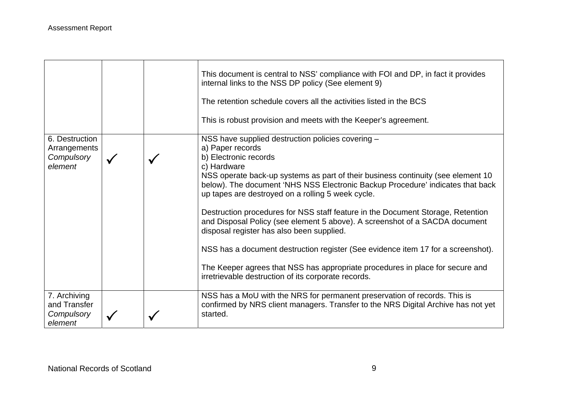|                                                         |  | This document is central to NSS' compliance with FOI and DP, in fact it provides<br>internal links to the NSS DP policy (See element 9)<br>The retention schedule covers all the activities listed in the BCS<br>This is robust provision and meets with the Keeper's agreement.                                                                                                                                                                                                                                                                                                                                                                                                                                                                                                    |
|---------------------------------------------------------|--|-------------------------------------------------------------------------------------------------------------------------------------------------------------------------------------------------------------------------------------------------------------------------------------------------------------------------------------------------------------------------------------------------------------------------------------------------------------------------------------------------------------------------------------------------------------------------------------------------------------------------------------------------------------------------------------------------------------------------------------------------------------------------------------|
| 6. Destruction<br>Arrangements<br>Compulsory<br>element |  | NSS have supplied destruction policies covering -<br>a) Paper records<br>b) Electronic records<br>c) Hardware<br>NSS operate back-up systems as part of their business continuity (see element 10<br>below). The document 'NHS NSS Electronic Backup Procedure' indicates that back<br>up tapes are destroyed on a rolling 5 week cycle.<br>Destruction procedures for NSS staff feature in the Document Storage, Retention<br>and Disposal Policy (see element 5 above). A screenshot of a SACDA document<br>disposal register has also been supplied.<br>NSS has a document destruction register (See evidence item 17 for a screenshot).<br>The Keeper agrees that NSS has appropriate procedures in place for secure and<br>irretrievable destruction of its corporate records. |
| 7. Archiving<br>and Transfer<br>Compulsory<br>element   |  | NSS has a MoU with the NRS for permanent preservation of records. This is<br>confirmed by NRS client managers. Transfer to the NRS Digital Archive has not yet<br>started.                                                                                                                                                                                                                                                                                                                                                                                                                                                                                                                                                                                                          |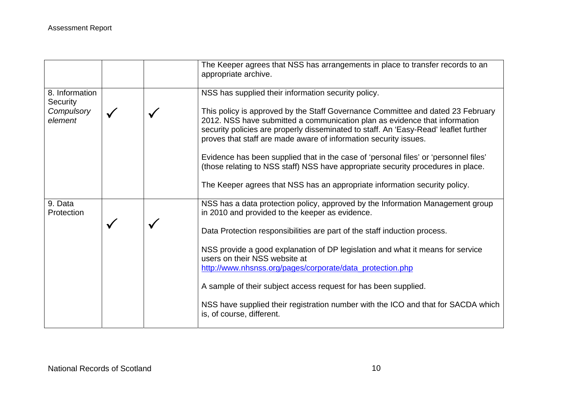|                            |  | The Keeper agrees that NSS has arrangements in place to transfer records to an<br>appropriate archive.                                                                                                                                                                                                                    |
|----------------------------|--|---------------------------------------------------------------------------------------------------------------------------------------------------------------------------------------------------------------------------------------------------------------------------------------------------------------------------|
| 8. Information<br>Security |  | NSS has supplied their information security policy.                                                                                                                                                                                                                                                                       |
| Compulsory<br>element      |  | This policy is approved by the Staff Governance Committee and dated 23 February<br>2012. NSS have submitted a communication plan as evidence that information<br>security policies are properly disseminated to staff. An 'Easy-Read' leaflet further<br>proves that staff are made aware of information security issues. |
|                            |  | Evidence has been supplied that in the case of 'personal files' or 'personnel files'<br>(those relating to NSS staff) NSS have appropriate security procedures in place.                                                                                                                                                  |
|                            |  | The Keeper agrees that NSS has an appropriate information security policy.                                                                                                                                                                                                                                                |
| 9. Data<br>Protection      |  | NSS has a data protection policy, approved by the Information Management group<br>in 2010 and provided to the keeper as evidence.                                                                                                                                                                                         |
|                            |  | Data Protection responsibilities are part of the staff induction process.                                                                                                                                                                                                                                                 |
|                            |  | NSS provide a good explanation of DP legislation and what it means for service<br>users on their NSS website at                                                                                                                                                                                                           |
|                            |  | http://www.nhsnss.org/pages/corporate/data_protection.php                                                                                                                                                                                                                                                                 |
|                            |  | A sample of their subject access request for has been supplied.                                                                                                                                                                                                                                                           |
|                            |  | NSS have supplied their registration number with the ICO and that for SACDA which<br>is, of course, different.                                                                                                                                                                                                            |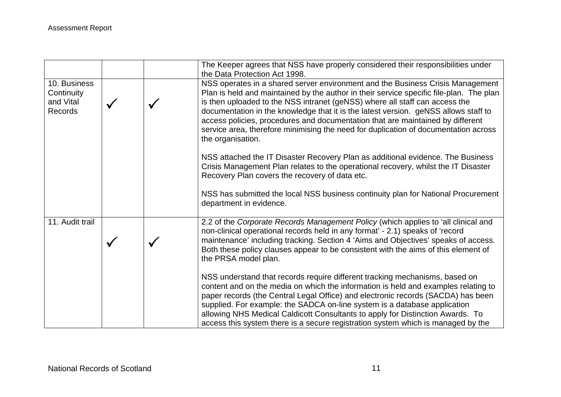|                                                           |  | The Keeper agrees that NSS have properly considered their responsibilities under<br>the Data Protection Act 1998.                                                                                                                                                                                                                                                                                                                                                                                                                             |
|-----------------------------------------------------------|--|-----------------------------------------------------------------------------------------------------------------------------------------------------------------------------------------------------------------------------------------------------------------------------------------------------------------------------------------------------------------------------------------------------------------------------------------------------------------------------------------------------------------------------------------------|
| 10. Business<br>Continuity<br>and Vital<br><b>Records</b> |  | NSS operates in a shared server environment and the Business Crisis Management<br>Plan is held and maintained by the author in their service specific file-plan. The plan<br>is then uploaded to the NSS intranet (geNSS) where all staff can access the<br>documentation in the knowledge that it is the latest version. geNSS allows staff to<br>access policies, procedures and documentation that are maintained by different<br>service area, therefore minimising the need for duplication of documentation across<br>the organisation. |
|                                                           |  | NSS attached the IT Disaster Recovery Plan as additional evidence. The Business<br>Crisis Management Plan relates to the operational recovery, whilst the IT Disaster<br>Recovery Plan covers the recovery of data etc.                                                                                                                                                                                                                                                                                                                       |
|                                                           |  | NSS has submitted the local NSS business continuity plan for National Procurement<br>department in evidence.                                                                                                                                                                                                                                                                                                                                                                                                                                  |
| 11. Audit trail                                           |  | 2.2 of the Corporate Records Management Policy (which applies to 'all clinical and<br>non-clinical operational records held in any format' - 2.1) speaks of 'record<br>maintenance' including tracking. Section 4 'Aims and Objectives' speaks of access.<br>Both these policy clauses appear to be consistent with the aims of this element of<br>the PRSA model plan.                                                                                                                                                                       |
|                                                           |  | NSS understand that records require different tracking mechanisms, based on<br>content and on the media on which the information is held and examples relating to<br>paper records (the Central Legal Office) and electronic records (SACDA) has been<br>supplied. For example: the SADCA on-line system is a database application<br>allowing NHS Medical Caldicott Consultants to apply for Distinction Awards. To<br>access this system there is a secure registration system which is managed by the                                      |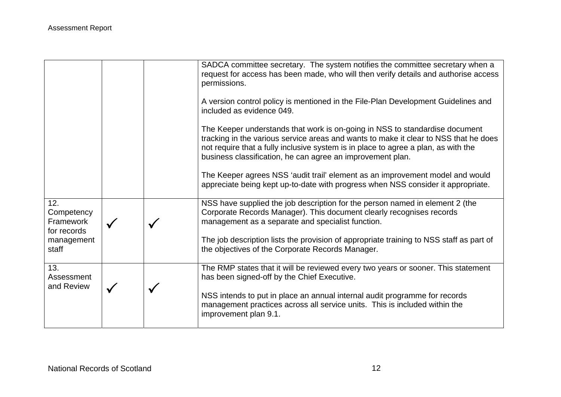|                                               |  | SADCA committee secretary. The system notifies the committee secretary when a<br>request for access has been made, who will then verify details and authorise access<br>permissions.<br>A version control policy is mentioned in the File-Plan Development Guidelines and<br>included as evidence 049.                  |
|-----------------------------------------------|--|-------------------------------------------------------------------------------------------------------------------------------------------------------------------------------------------------------------------------------------------------------------------------------------------------------------------------|
|                                               |  | The Keeper understands that work is on-going in NSS to standardise document<br>tracking in the various service areas and wants to make it clear to NSS that he does<br>not require that a fully inclusive system is in place to agree a plan, as with the<br>business classification, he can agree an improvement plan. |
|                                               |  | The Keeper agrees NSS 'audit trail' element as an improvement model and would<br>appreciate being kept up-to-date with progress when NSS consider it appropriate.                                                                                                                                                       |
| 12.<br>Competency<br>Framework<br>for records |  | NSS have supplied the job description for the person named in element 2 (the<br>Corporate Records Manager). This document clearly recognises records<br>management as a separate and specialist function.                                                                                                               |
| management<br>staff                           |  | The job description lists the provision of appropriate training to NSS staff as part of<br>the objectives of the Corporate Records Manager.                                                                                                                                                                             |
| 13.<br>Assessment<br>and Review               |  | The RMP states that it will be reviewed every two years or sooner. This statement<br>has been signed-off by the Chief Executive.                                                                                                                                                                                        |
|                                               |  | NSS intends to put in place an annual internal audit programme for records<br>management practices across all service units. This is included within the<br>improvement plan 9.1.                                                                                                                                       |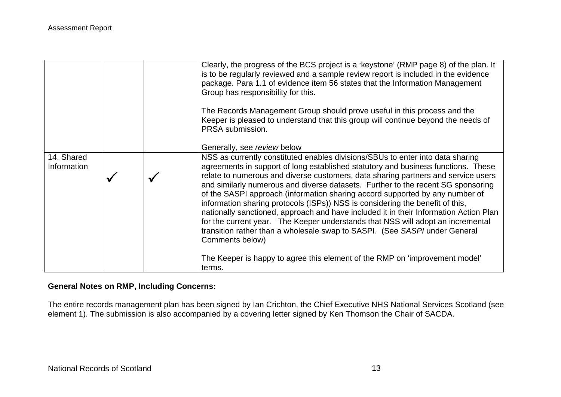|                           |  | Clearly, the progress of the BCS project is a 'keystone' (RMP page 8) of the plan. It<br>is to be regularly reviewed and a sample review report is included in the evidence<br>package. Para 1.1 of evidence item 56 states that the Information Management<br>Group has responsibility for this.<br>The Records Management Group should prove useful in this process and the<br>Keeper is pleased to understand that this group will continue beyond the needs of<br>PRSA submission.                                                                                                                                                                                                                                                                                                     |
|---------------------------|--|--------------------------------------------------------------------------------------------------------------------------------------------------------------------------------------------------------------------------------------------------------------------------------------------------------------------------------------------------------------------------------------------------------------------------------------------------------------------------------------------------------------------------------------------------------------------------------------------------------------------------------------------------------------------------------------------------------------------------------------------------------------------------------------------|
|                           |  | Generally, see review below                                                                                                                                                                                                                                                                                                                                                                                                                                                                                                                                                                                                                                                                                                                                                                |
| 14. Shared<br>Information |  | NSS as currently constituted enables divisions/SBUs to enter into data sharing<br>agreements in support of long established statutory and business functions. These<br>relate to numerous and diverse customers, data sharing partners and service users<br>and similarly numerous and diverse datasets. Further to the recent SG sponsoring<br>of the SASPI approach (information sharing accord supported by any number of<br>information sharing protocols (ISPs)) NSS is considering the benefit of this,<br>nationally sanctioned, approach and have included it in their Information Action Plan<br>for the current year. The Keeper understands that NSS will adopt an incremental<br>transition rather than a wholesale swap to SASPI. (See SASPI under General<br>Comments below) |
|                           |  | The Keeper is happy to agree this element of the RMP on 'improvement model'<br>terms.                                                                                                                                                                                                                                                                                                                                                                                                                                                                                                                                                                                                                                                                                                      |

#### **General Notes on RMP, Including Concerns:**

The entire records management plan has been signed by Ian Crichton, the Chief Executive NHS National Services Scotland (see element 1). The submission is also accompanied by a covering letter signed by Ken Thomson the Chair of SACDA.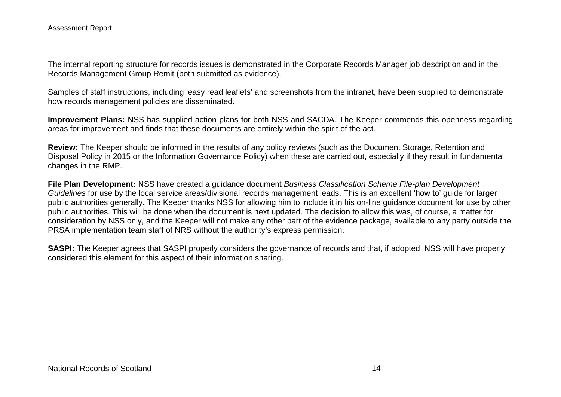The internal reporting structure for records issues is demonstrated in the Corporate Records Manager job description and in the Records Management Group Remit (both submitted as evidence).

Samples of staff instructions, including 'easy read leaflets' and screenshots from the intranet, have been supplied to demonstrate how records management policies are disseminated.

**Improvement Plans:** NSS has supplied action plans for both NSS and SACDA. The Keeper commends this openness regarding areas for improvement and finds that these documents are entirely within the spirit of the act.

**Review:** The Keeper should be informed in the results of any policy reviews (such as the Document Storage, Retention and Disposal Policy in 2015 or the Information Governance Policy) when these are carried out, especially if they result in fundamental changes in the RMP.

**File Plan Development:** NSS have created a guidance document *Business Classification Scheme File-plan Development Guidelines* for use by the local service areas/divisional records management leads. This is an excellent 'how to' guide for larger public authorities generally. The Keeper thanks NSS for allowing him to include it in his on-line guidance document for use by other public authorities. This will be done when the document is next updated. The decision to allow this was, of course, a matter for consideration by NSS only, and the Keeper will not make any other part of the evidence package, available to any party outside the PRSA implementation team staff of NRS without the authority's express permission.

**SASPI:** The Keeper agrees that SASPI properly considers the governance of records and that, if adopted, NSS will have properly considered this element for this aspect of their information sharing.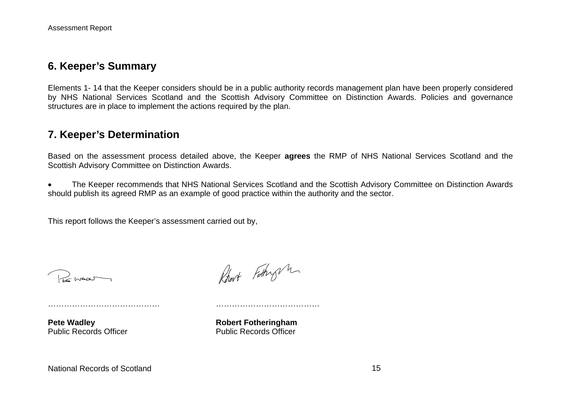#### **6. Keeper's Summary**

Elements 1- 14 that the Keeper considers should be in a public authority records management plan have been properly considered by NHS National Services Scotland and the Scottish Advisory Committee on Distinction Awards. Policies and governance structures are in place to implement the actions required by the plan.

### **7. Keeper's Determination**

Based on the assessment process detailed above, the Keeper **agrees** the RMP of NHS National Services Scotland and the Scottish Advisory Committee on Distinction Awards.

 The Keeper recommends that NHS National Services Scotland and the Scottish Advisory Committee on Distinction Awards should publish its agreed RMP as an example of good practice within the authority and the sector.

This report follows the Keeper's assessment carried out by,

Promot

Robert Fathry m

…………………………………… …………………………………

**Pete Wadley Constraining Pete Wadley Constraining Robert Fothering ham** Public Records Officer **Public Records Officer**